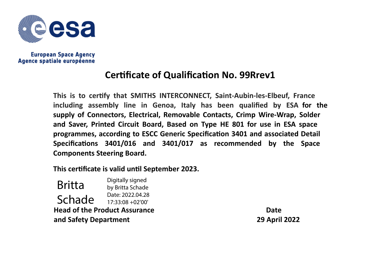

**European Space Agency** Agence spatiale européenne

## **CerƟficate of QualificaƟon No. 99Rrev1**

**This is to cerƟfy that <sup>S</sup>MITHS INTERCONNECT, Saint‐Aubin‐les‐Elbeuf, France including assembly line in Genoa, Italy has been qualified by ESA for the supply of Connectors, Electrical, Removable Contacts, Crimp Wire‐Wrap, Solder and Saver, Printed Circuit Board, Based on Type HE <sup>801</sup> for use in ESA space programmes, according to ESCC Generic SpecificaƟon <sup>3401</sup> and associated Detail SpecificaƟons 3401/016 and 3401/017 as recommended by the Space Components Steering Board.**

**This cerƟficate is valid unƟ<sup>l</sup> September 2023.**

**Head of the Product Assurance and Safety Department** Britta SchadeDigitally signed by Britta Schade Date: 2022.04.28 17:33:08 +02'00'

**Date29 April <sup>2022</sup>**